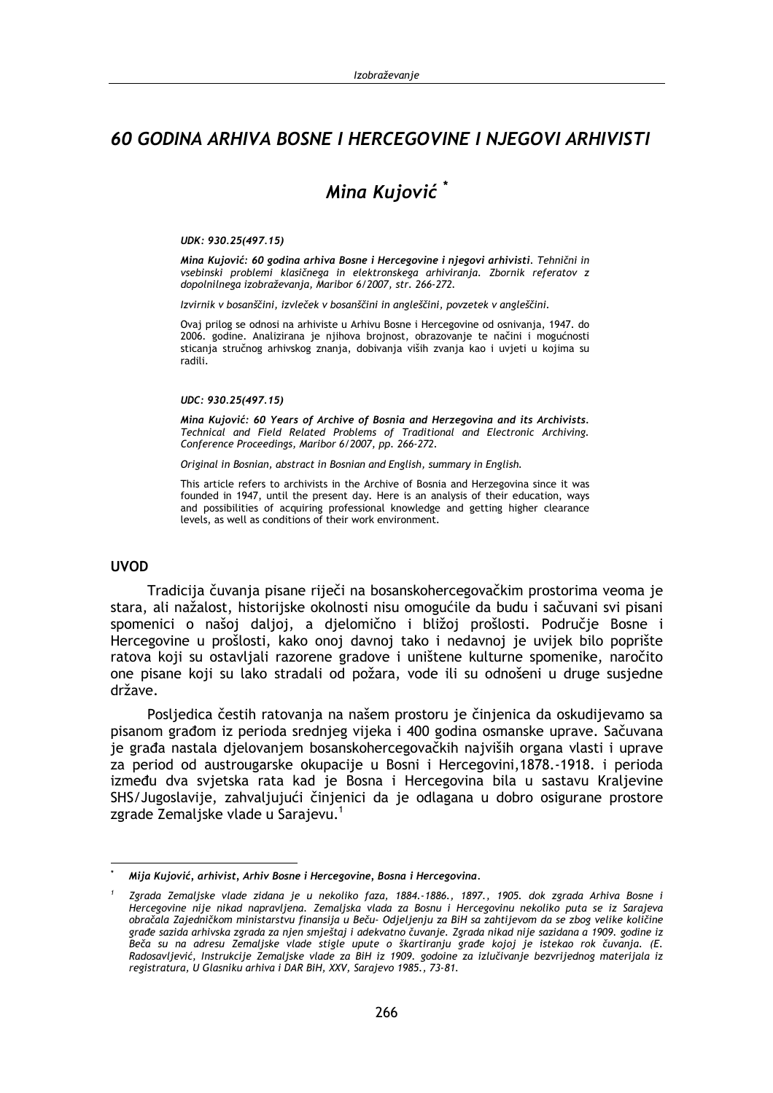## 60 GODINA ARHIVA BOSNE I HERCEGOVINE I NJEGOVI ARHIVISTI

# Mina Kuiović<sup>\*</sup>

#### UDK: 930.25(497.15)

Mina Kujović: 60 godina arhiva Bosne i Hercegovine i njegovi arhivisti. Tehnični in vsebinski problemi klasičnega in elektronskega arhiviranja. Zbornik referatov z dopolnilnega izobraževania, Maribor 6/2007, str. 266-272.

Izvirnik v bosanščini, izvleček v bosanščini in angleščini, povzetek v angleščini.

Ovaj prilog se odnosi na arhiviste u Arhivu Bosne i Hercegovine od osnivanja, 1947. do 2006. godine. Analizirana je njihova brojnost, obrazovanje te načini i mogućnosti sticanja stručnog arhivskog znanja, dobivanja viših zvanja kao i uvjeti u kojima su radili.

#### UDC: 930.25(497.15)

Mina Kujović: 60 Years of Archive of Bosnia and Herzegovina and its Archivists. Technical and Field Related Problems of Traditional and Electronic Archiving. Conference Proceedings, Maribor 6/2007, pp. 266-272.

Original in Bosnian, abstract in Bosnian and English, summary in English.

This article refers to archivists in the Archive of Bosnia and Herzegovina since it was founded in 1947, until the present day. Here is an analysis of their education, ways and possibilities of acquiring professional knowledge and getting higher clearance levels, as well as conditions of their work environment.

## **UVOD**

Tradicija čuvanja pisane riječi na bosanskohercegovačkim prostorima veoma je stara, ali nažalost, historijske okolnosti nisu omogućile da budu i sačuvani svi pisani spomenici o našoj daljoj, a djelomično i bližoj prošlosti. Područje Bosne i Hercegovine u prošlosti, kako onoj davnoj tako i nedavnoj je uvijek bilo poprište ratova koji su ostavljali razorene gradove i uništene kulturne spomenike, naročito one pisane koji su lako stradali od požara, vode ili su odnošeni u druge susjedne države.

Posljedica čestih ratovanja na našem prostoru je činjenica da oskudijevamo sa pisanom građom iz perioda srednjeg vijeka i 400 godina osmanske uprave. Sačuvana je građa nastala djelovanjem bosanskohercegovačkih najviših organa vlasti i uprave za period od austrougarske okupacije u Bosni i Hercegovini, 1878.-1918. i perioda između dva svjetska rata kad je Bosna i Hercegovina bila u sastavu Kraljevine SHS/Jugoslavije, zahvaljujući činjenici da je odlagana u dobro osigurane prostore zgrade Zemaljske vlade u Sarajevu.<sup>1</sup>

Mija Kujović, arhivist, Arhiv Bosne i Hercegovine, Bosna i Hercegovina.

Zgrada Zemaljske vlade zidana je u nekoliko faza, 1884.-1886., 1897., 1905. dok zgrada Arhiva Bosne i Hercegovine nije nikad napravljena. Zemaljska vlada za Bosnu i Hercegovinu nekoliko puta se iz Sarajeva obračala Zajedničkom ministarstvu finansija u Beču- Odjeljenju za BiH sa zahtijevom da se zbog velike količine građe sazida arhivska zgrada za njen smještaj i adekvatno čuvanje. Zgrada nikad nije sazidana a 1909. godine iz .<br>Beča su na adresu Zemaljske vlade stigle upute o škartiranju građe kojoj je istekao rok čuvanja. (E. Radosavljević, Instrukcije Žemaljske vlade za BiH iz 1909. godoine za izlučivanje bezvrijednog materijala iz registratura, U Glasniku arhiva i DAR BiH, XXV, Sarajevo 1985., 73-81.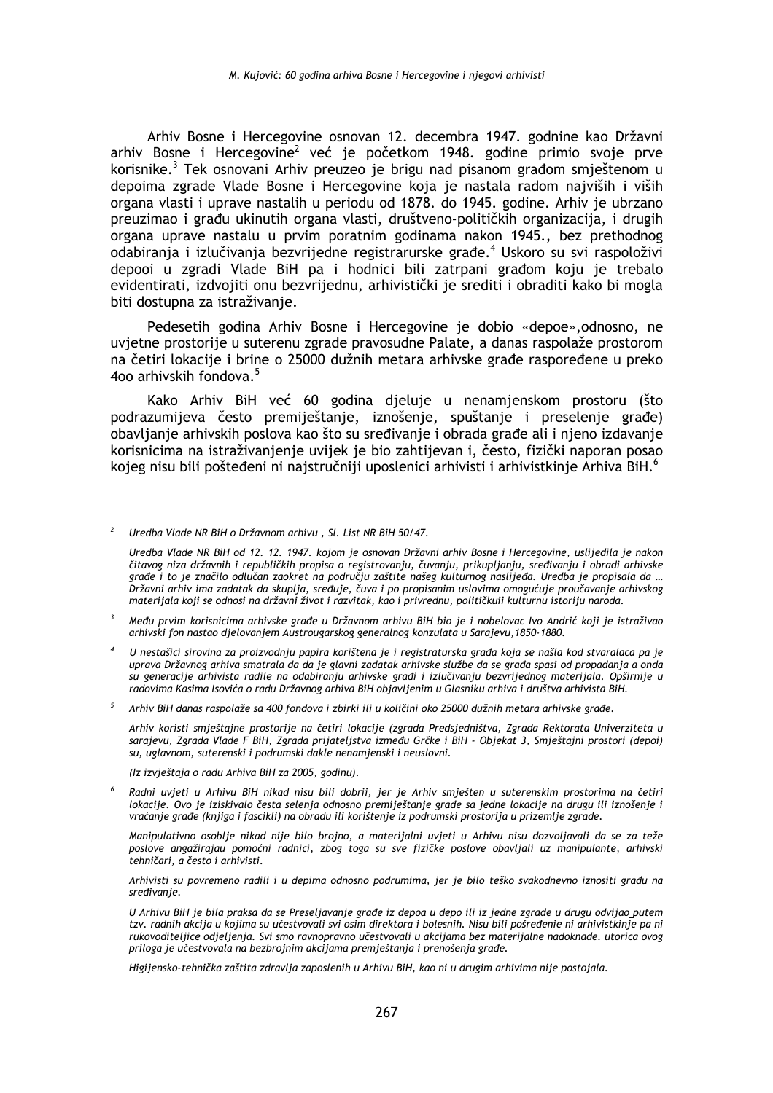Arhiv Bosne i Hercegovine osnovan 12. decembra 1947. godnine kao Državni arhiv Bosne i Hercegovine<sup>2</sup> već je početkom 1948. godine primio svoje prve korisnike.<sup>3</sup> Tek osnovani Arhiv preuzeo je brigu nad pisanom građom smieštenom u depoima zgrade Vlade Bosne i Hercegovine koja je nastala radom najviših i viših organa vlasti i uprave nastalih u periodu od 1878. do 1945. godine. Arhiv je ubrzano preuzimao i građu ukinutih organa vlasti, društveno-političkih organizacija, i drugih organa uprave nastalu u prvim poratnim godinama nakon 1945., bez prethodnog odabiranja i izlučivanja bezvrijedne registrarurske građe.<sup>4</sup> Uskoro su svi raspoloživi depooi u zgradi Vlade BiH pa i hodnici bili zatrpani građom koju je trebalo evidentirati, izdvojiti onu bezvrijednu, arhivistički je srediti i obraditi kako bi mogla biti dostupna za istraživanje.

Pedesetih godina Arhiv Bosne i Hercegovine je dobio «depoe», odnosno, ne uvjetne prostorije u suterenu zgrade pravosudne Palate, a danas raspolaže prostorom na četiri lokacije i brine o 25000 dužnih metara arhivske građe raspoređene u preko 400 arhivskih fondova.<sup>5</sup>

Kako Arhiv BiH već 60 godina djeluje u nenamjenskom prostoru (što podrazumijeva često premiještanje, iznošenje, spuštanje i preselenje građe) obavljanje arhivskih poslova kao što su sređivanje i obrada građe ali i njeno izdavanje korisnicima na istraživanjenje uvijek je bio zahtijevan i, često, fizički naporan posao kojeg nisu bili pošteđeni ni najstručniji uposlenici arhivisti i arhivistkinje Arhiva BiH.<sup>6</sup>

 $5^{\circ}$ Arhiv BiH danas raspolaže sa 400 fondova i zbirki ili u količini oko 25000 dužnih metara arhivske građe.

Arhiv koristi smještajne prostorije na četiri lokacije (zgrada Predsjedništva, Zgrada Rektorata Univerziteta u sarajevu, Zgrada Vlade F BiH, Zgrada prijateljstva između Grčke i BiH - Objekat 3, Smještajni prostori (depoi) su, uglavnom, suterenski i podrumski dakle nenamjenski i neuslovni.

(Iz izvještaja o radu Arhiva BiH za 2005, godinu).

Manipulativno osoblje nikad nije bilo brojno, a materijalni uvjeti u Arhivu nisu dozvoljavali da se za teže poslove angažirajau pomoćni radnici, zbog toga su sve fizičke poslove obavljali uz manipulante, arhivski tehničari, a često i arhivisti.

Arhivisti su povremeno radili i u depima odnosno podrumima, jer je bilo teško svakodnevno iznositi građu na sredivanie.

U Arhivu BiH je bila praksa da se Preseljavanje građe iz depoa u depo ili iz jedne zgrade u drugu odvijao putem tzv. radnih akcija u kojima su učestvovali svi osim direktora i bolesnih. Nisu bili pošređenie ni arhivistkinje pa ni rukovoditeliice odjeljenja. Svi smo ravnopravno učestvovali u akcijama bez materijalne nadoknade. utorica ovog priloga je učestvovala na bezbrojnim akcijama premještanja i prenošenja građe.

Higijensko-tehnička zaštita zdravlja zaposlenih u Arhivu BiH, kao ni u drugim arhivima nije postojala.

Uredba Vlade NR BiH o Državnom arhivu, Sl. List NR BiH 50/47.

Uredba Vlade NR BiH od 12. 12. 1947. kojom je osnovan Državni arhiv Bosne i Hercegovine, uslijedila je nakon čitavog niza državnih i republičkih propisa o registrovanju, čuvanju, prikupljanju, sređivanju i obradi arhivske erade i to je značilo odlučan zaokret na području zaštite našeg kulturnog naslijeda. Uredba je propisala da ... Državni arhiv ima zadatak da skuplja, sređuje, čuva i po propisanim uslovima omogućuje proučavanje arhivskog materijala koji se odnosi na državni život i razvitak, kao i privrednu, političkuii kulturnu istoriju naroda.

 $\mathbf{R}$ Među prvim korisnicima arhivske građe u Državnom arhivu BiH bio je i nobelovac Ivo Andrić koji je istraživao arhivski fon nastao djelovanjem Austrougarskog generalnog konzulata u Sarajevu, 1850-1880.

U nestašici sirovina za proizvodniu papira korištena je i registraturska građa koja se našla kod stvaralaca pa je uprava Državnog arhiva smatrala da da je glavni zadatak arhivske službe da se građa spasi od propadanja a onda su generacije arhivista radile na odabiranju arhivske građi i izlučivanju bezvrijednog materijala. Opširnije u radovima Kasima Isovića o radu Državnog arhiva BiH objavljenim u Glasniku arhiva i društva arhivista BiH.

Radni uvjeti u Arhivu BiH nikad nisu bili dobrii, jer je Arhiv smješten u suterenskim prostorima na četiri lokacije. Ovo je iziskivalo česta selenja odnosno premiještanje građe sa jedne lokacije na drugu ili iznošenje i vraćanje građe (knjiga i fascikli) na obradu ili korištenje iz podrumski prostorija u prizemlje zgrade.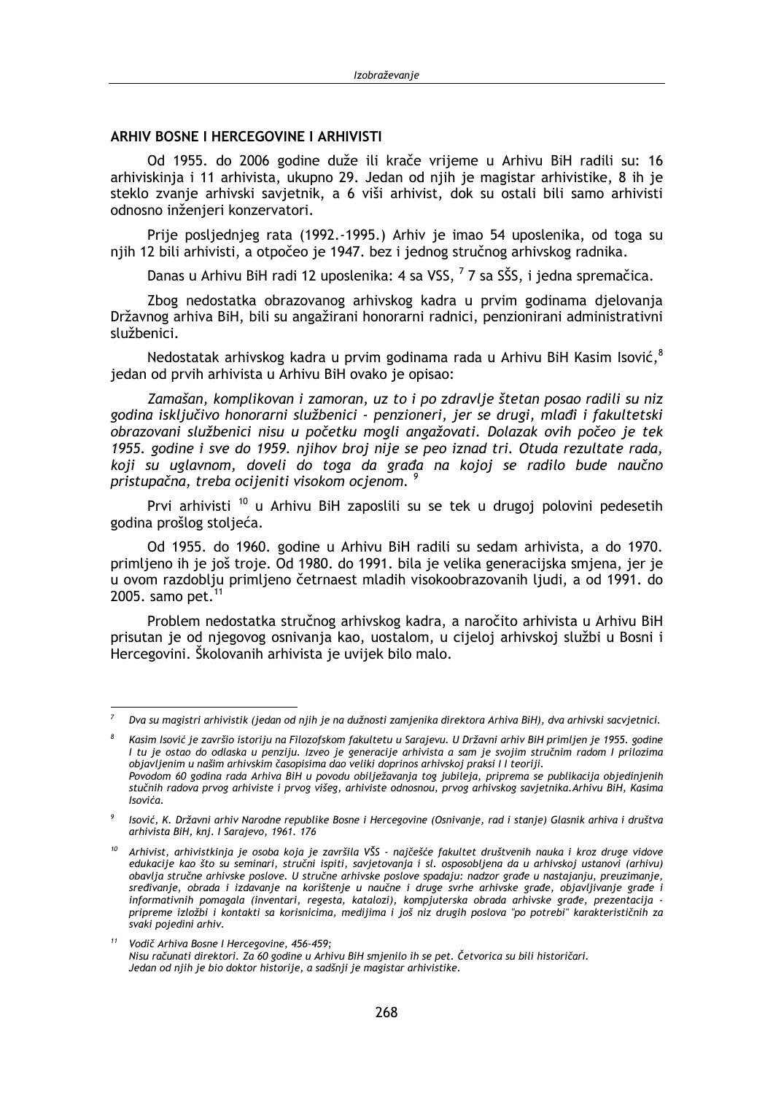## **ARHIV BOSNE I HERCEGOVINE I ARHIVISTI**

Od 1955. do 2006 godine duže ili krače vrijeme u Arhivu BiH radili su: 16 arhiviskinja i 11 arhivista, ukupno 29. Jedan od njih je magistar arhivistike, 8 ih je steklo zvanje arhivski savjetnik, a 6 viši arhivist, dok su ostali bili samo arhivisti odnosno inženjeri konzervatori.

Prije posljednjeg rata (1992.-1995.) Arhiv je imao 54 uposlenika, od toga su njih 12 bili arhivisti, a otpočeo je 1947. bez i jednog stručnog arhivskog radnika.

Danas u Arhivu BiH radi 12 uposlenika: 4 sa VSS, <sup>7</sup> 7 sa SŠS, i jedna spremačica.

Zbog nedostatka obrazovanog arhivskog kadra u prvim godinama djelovanja Državnog arhiva BiH, bili su angažirani honorarni radnici, penzionirani administrativni službenici.

Nedostatak arhivskog kadra u prvim godinama rada u Arhivu BiH Kasim Isović,<sup>8</sup> jedan od prvih arhivista u Arhivu BiH ovako je opisao:

Zamašan, komplikovan i zamoran, uz to i po zdravlje štetan posao radili su niz godina isključivo honorarni službenici - penzioneri, jer se drugi, mlađi i fakultetski obrazovani službenici nisu u početku mogli angažovati. Dolazak ovih počeo je tek 1955, godine i sve do 1959, niihov broj nije se peo iznad tri. Otuda rezultate rada, koji su uglavnom, doveli do toga da građa na kojoj se radilo bude naučno pristupačna, treba ocijeniti visokom ocjenom. <sup>9</sup>

Prvi arhivisti<sup>10</sup> u Arhivu BiH zaposlili su se tek u drugoj polovini pedesetih godina prošlog stoljeća.

Od 1955. do 1960. godine u Arhivu BiH radili su sedam arhivista, a do 1970. primljeno ih je još troje. Od 1980. do 1991. bila je velika generacijska smjena, jer je u ovom razdoblju primljeno četrnaest mladih visokoobrazovanih ljudi, a od 1991. do 2005. samo pet.<sup>11</sup>

Problem nedostatka stručnog arhivskog kadra, a naročito arhivista u Arhivu BiH prisutan je od njegovog osnivanja kao, uostalom, u cijeloj arhivskoj službi u Bosni i Hercegovini. Školovanih arhivista je uvijek bilo malo.

Dva su magistri arhivistik (jedan od njih je na dužnosti zamjenika direktora Arhiva BiH), dva arhivski sacvjetnici.

Kasim Isović je završio istoriju na Filozofskom fakultetu u Sarajevu. U Državni arhiv BiH primljen je 1955. godine I tu je ostao do odlaska u penziju. Izveo je generacije arhivista a sam je svojim stručnim radom I prilozima objavljenim u našim arhivskim časopisima dao veliki doprinos arhivskoj praksi I I teoriji. Povodom 60 godina rada Arhiva BiH u povodu obilježavanja tog jubileja, priprema se publikacija objedinjenih stučnih radova prvog arhiviste i prvog višeg, arhiviste odnosnou, prvog arhivskog savjetnika. Arhivu BiH, Kasima Isovića.

<sup>9</sup> Isović, K. Državni arhiv Narodne republike Bosne i Hercegovine (Osnivanje, rad i stanje) Glasnik arhiva i društva arhivista BiH, knj. I Sarajevo, 1961. 176

<sup>&</sup>lt;sup>10</sup> Arhivist, arhivistkinja je osoba koja je završila VŠS - najčešće fakultet društvenih nauka i kroz druge vidove edukacije kao što su seminari, stručni ispiti, savietovanja i sl. osposobliena da u arhivskoj ustanovi (arhivu) obavlja stručne arhivske poslove. U stručne arhivske poslove spadaju: nadzor građe u nastajanju, preuzimanje, sredivanje, obrada i izdavanje na korištenje u naučne i druge svrhe arhivske građe, objavljivanje građe i informativnih pomagala (inventari, regesta, katalozi), kompjuterska obrada arhivske građe, prezentacija pripreme izložbi i kontakti sa korisnicima, medijima i još niz drugih poslova "po potrebi" karakterističnih za svaki pojedini arhiv.

 $11$ Vodič Arhiva Bosne I Hercegovine, 456-459; Nisu računati direktori. Za 60 godine u Arhivu BiH smjenilo ih se pet. Četvorica su bili historičari. Jedan od njih je bio doktor historije, a sadšnji je magistar arhivistike.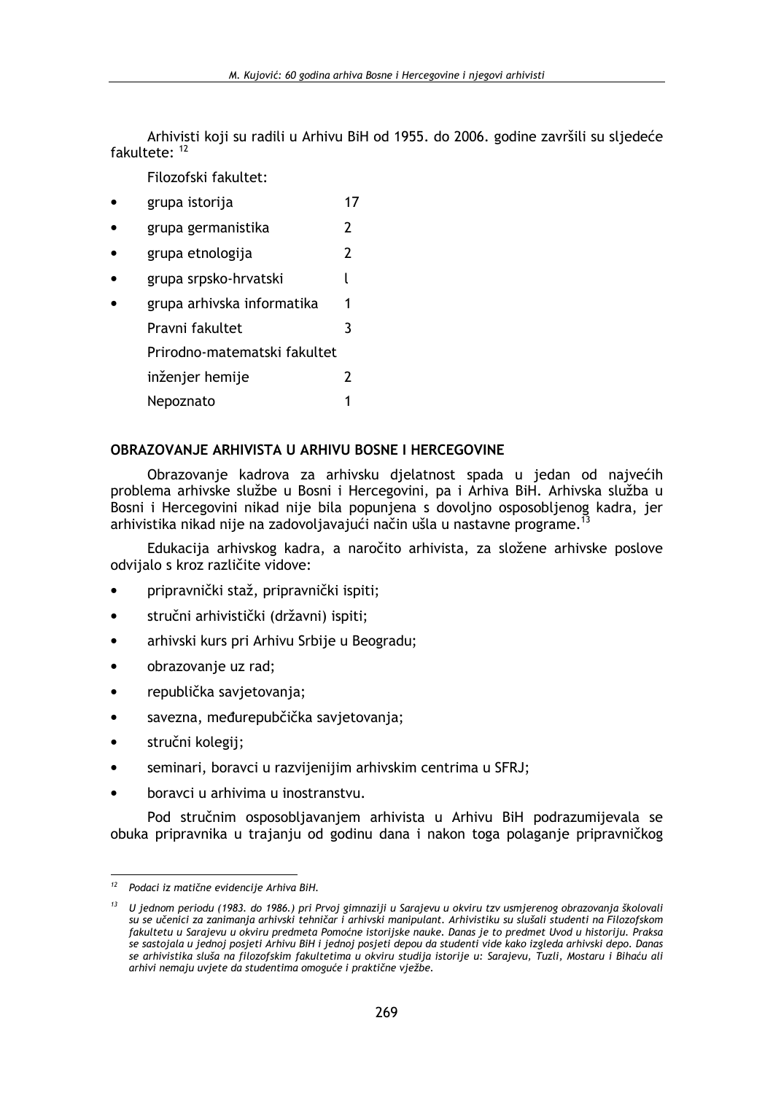Arhivisti koji su radili u Arhivu BiH od 1955. do 2006. godine završili su sljedeće fakultete $^{12}$ 

Filozofski fakultet:

 $17$ grupa istorija  $\overline{2}$ grupa germanistika grupa etnologija  $\overline{\mathbf{z}}$ grupa srpsko-hrvatski  $\overline{1}$ grupa arhivska informatika  $\mathbf{1}$ Pravni fakultet  $\mathbf{3}$ Prirodno-matematski fakultet  $\overline{2}$ inženjer hemije Nepoznato  $\mathbf{1}$ 

## OBRAZOVANJE ARHIVISTA U ARHIVU BOSNE I HERCEGOVINE

Obrazovanje kadrova za arhivsku djelatnost spada u jedan od najvećih problema arhivske službe u Bosni i Hercegovini, pa i Arhiva BiH. Arhivska služba u Bosni i Hercegovini nikad nije bila popunjena s dovoljno osposobljenog kadra, jer arhivistika nikad nije na zadovoljavajući način ušla u nastavne programe.<sup>1</sup>

Edukacija arhivskog kadra, a naročito arhivista, za složene arhivske poslove odvijalo s kroz različite vidove:

- pripravnički staž, pripravnički ispiti;
- stručni arhivistički (državni) ispiti;
- arhivski kurs pri Arhivu Srbije u Beogradu;
- obrazovanje uz rad;
- republička savjetovanja;
- savezna, međurepubčička savjetovanja;
- stručni kolegij;
- seminari, boravci u razvijenijim arhivskim centrima u SFRJ;  $\bullet$
- boravci u arhivima u inostranstvu.

Pod stručnim osposobljavanjem arhivista u Arhivu BiH podrazumijevala se obuka pripravnika u trajanju od godinu dana i nakon toga polaganje pripravničkog

<sup>&</sup>lt;sup>12</sup> Podaci iz matične evidencije Arhiva BiH.

 $13$  U jednom periodu (1983. do 1986.) pri Prvoj gimnaziji u Sarajevu u okviru tzv usmjerenog obrazovanja školovali su se učenici za zanimanja arhivski tehničar i arhivski manipulant. Arhivistiku su slušali studenti na Filozofskom fakultetu u Sarajevu u okviru predmeta Pomoćne istorijske nauke. Danas je to predmet Uvod u historiju. Praksa ,<br>se sastojala u jednoj posjeti Arhivu BiH i jednoj posjeti depou da studenti vide kako izgleda arhivski depo. Danas se arhivistika sluša na filozofskim fakultetima u okviru studija istorije u: Sarajevu, Tuzli, Mostaru i Bihaću ali arhivi nemaju uvjete da studentima omoguće i praktične vježbe.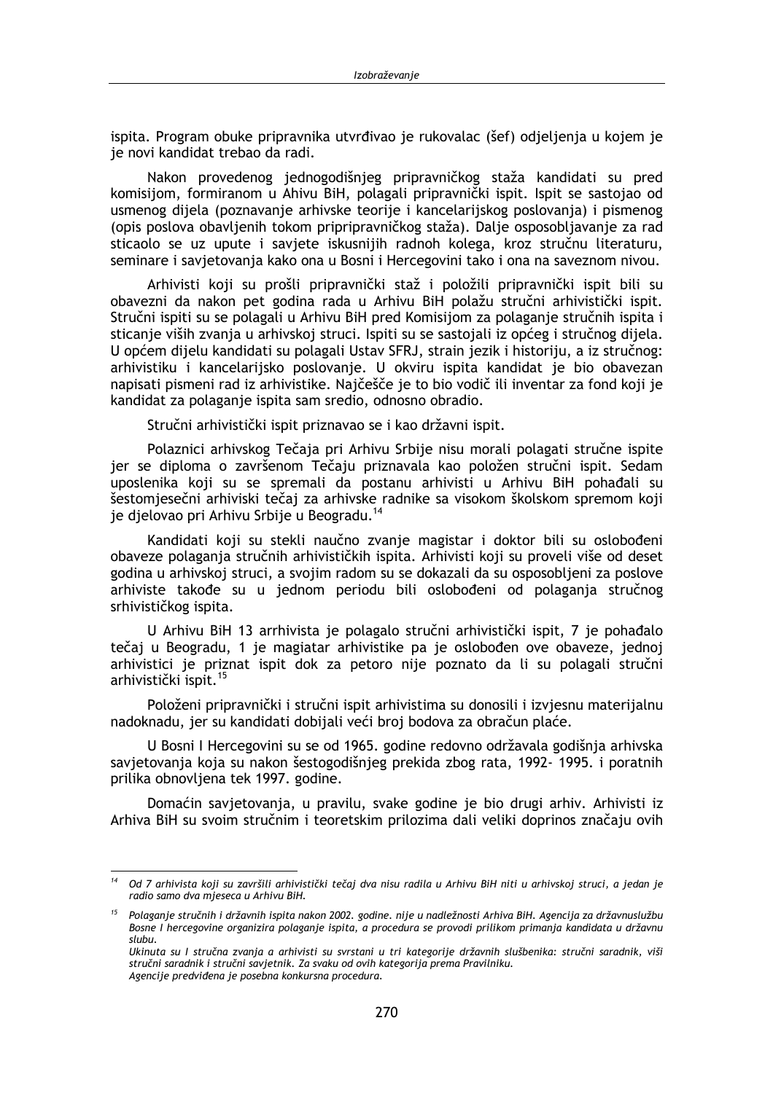ispita. Program obuke pripravnika utvrđivao je rukovalac (šef) odielienia u kojem je je novi kandidat trebao da radi.

Nakon provedenog jednogodišnjeg pripravničkog staža kandidati su pred komisijom, formiranom u Ahivu BiH, polagali pripravnički ispit, Ispit se sastojao od usmenog dijela (poznavanje arhivske teorije i kancelarijskog poslovanja) i pismenog (opis poslova obavljenih tokom pripripravničkog staža). Dalje osposobljavanje za rad sticaolo se uz upute i savjete iskusnijih radnoh kolega, kroz stručnu literaturu, seminare i savjetovanja kako ona u Bosni i Hercegovini tako i ona na saveznom nivou.

Arhivisti koji su prošli pripravnički staž i položili pripravnički ispit bili su obavezni da nakon pet godina rada u Arhivu BiH polažu stručni arhivistički ispit. Stručni ispiti su se polagali u Arhivu BiH pred Komisijom za polaganje stručnih ispita i sticanje viših zvanja u arhivskoj struci. Ispiti su se sastojali iz općeg i stručnog dijela. U općem dijelu kandidati su polagali Ustav SFRJ, strain jezik i historiju, a iz stručnog: arhivistiku i kancelarijsko poslovanje. U okviru ispita kandidat je bio obavezan napisati pismeni rad iz arhivistike. Najčešče je to bio vodič ili inventar za fond koji je kandidat za polaganje ispita sam sredio, odnosno obradio.

Stručni arhivistički ispit priznavao se i kao državni ispit.

Polaznici arhivskog Tečaja pri Arhivu Srbije nisu morali polagati stručne ispite jer se diploma o završenom Tečaju priznavala kao položen stručni ispit. Sedam uposlenika koji su se spremali da postanu arhivisti u Arhivu BiH pohađali su šestomjesečni arhiviski tečaj za arhivske radnike sa visokom školskom spremom koji je djelovao pri Arhivu Srbije u Beogradu.<sup>14</sup>

Kandidati koji su stekli naučno zvanje magistar i doktor bili su oslobođeni obaveze polaganja stručnih arhivističkih ispita. Arhivisti koji su proveli više od deset godina u arhivskoj struci, a svojim radom su se dokazali da su osposobljeni za poslove arhiviste takođe su u jednom periodu bili oslobođeni od polaganja stručnog srhivističkog ispita.

U Arhivu BiH 13 arrhivista je polagalo stručni arhivistički ispit, 7 je pohađalo tečaj u Beogradu. 1 je magiatar arhivistike pa je oslobođen ove obaveze, jednoj arhivistici je priznat ispit dok za petoro nije poznato da li su polagali stručni arhivistički ispit.<sup>15</sup>

Položeni pripravnički i stručni ispit arhivistima su donosili i izvjesnu materijalnu nadoknadu, jer su kandidati dobijali veći broj bodova za obračun plaće.

U Bosni I Hercegovini su se od 1965. godine redovno održavala godišnja arhivska savjetovanja koja su nakon šestogodišnjeg prekida zbog rata, 1992-1995. i poratnih prilika obnovljena tek 1997. godine.

Domaćin savjetovanja, u pravilu, svake godine je bio drugi arhiv. Arhivisti iz Arhiva BiH su svoim stručnim i teoretskim prilozima dali veliki doprinos značaju ovih

Od 7 arhivista koji su završili arhivistički tečaj dva nisu radila u Arhivu BiH niti u arhivskoj struci, a jedan je radio samo dva mieseca u Arhivu BiH.

Polaganje stručnih i državnih ispita nakon 2002. godine. nije u nadležnosti Arhiva BiH. Agencija za državnuslužbu Bosne I hercegovine organizira polaganje ispita, a procedura se provodi prilikom primanja kandidata u državnu slubu.

Ukinuta su I stručna zvanja a arhivisti su svrstani u tri kategorije državnih slušbenika: stručni saradnik, viši stručni saradnik i stručni savjetnik. Za svaku od ovih kategorija prema Pravilniku. Agencije predviđena je posebna konkursna procedura.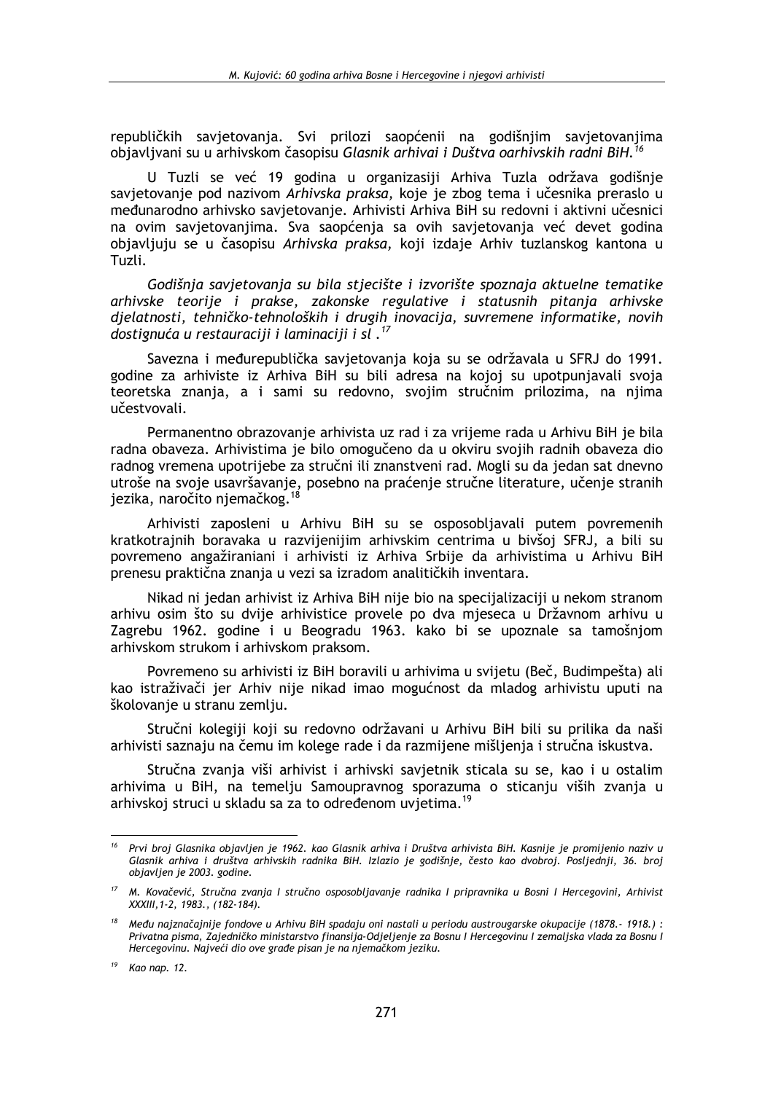republičkih savietovania. Svi prilozi saopćenii na godišniim savietovaniima objavljvani su u arhivskom časopisu Glasnik arhivai i Duštva oarhivskih radni BiH.<sup>16</sup>

U Tuzli se već 19 godina u organizasiji Arhiva Tuzla održava godišnje savjetovanje pod nazivom Arhivska praksa, koje je zbog tema i učesnika preraslo u međunarodno arhivsko savietovanie. Arhivisti Arhiva BiH su redovni i aktivni učesnici na ovim savjetovanjima. Sva saopćenja sa ovih savjetovanja već devet godina objavljuju se u časopisu Arhivska praksa, koji izdaje Arhiv tuzlanskog kantona u Tuzli.

Godišnja savjetovanja su bila stjecište i izvorište spoznaja aktuelne tematike arhivske teorije i prakse, zakonske regulative i statusnih pitanja arhivske djelatnosti, tehničko-tehnoloških i drugih inovacija, suvremene informatike, novih dostignuća u restauraciji i laminaciji i sl.<sup>17</sup>

Savezna i međurepublička savjetovanja koja su se održavala u SFRJ do 1991. godine za arhiviste iz Arhiva BiH su bili adresa na kojoj su upotpunjavali svoja teoretska znanja, a i sami su redovno, svojim stručnim prilozima, na njima učestvovali.

Permanentno obrazovanje arhivista uz rad i za vrijeme rada u Arhivu BiH je bila radna obaveza. Arhivistima je bilo omogučeno da u okviru svojih radnih obaveza dio radnog vremena upotrijebe za stručni ili znanstveni rad. Mogli su da jedan sat dnevno utroše na svoje usavršavanje, posebno na praćenje stručne literature, učenje stranih jezika, naročito njemačkog.

Arhivisti zaposleni u Arhivu BiH su se osposobljavali putem povremenih kratkotrajnih boravaka u razvijenijim arhivskim centrima u bivšoj SFRJ, a bili su povremeno angažiraniani i arhivisti iz Arhiva Srbije da arhivistima u Arhivu BiH prenesu praktična znanja u vezi sa izradom analitičkih inventara.

Nikad ni jedan arhivist iz Arhiva BiH nije bio na specijalizaciji u nekom stranom arhivu osim što su dvije arhivistice provele po dva mjeseca u Državnom arhivu u Zagrebu 1962. godine i u Beogradu 1963. kako bi se upoznale sa tamošnjom arhivskom strukom i arhivskom praksom.

Povremeno su arhivisti iz BiH boravili u arhivima u svijetu (Beč, Budimpešta) ali kao istraživači jer Arhiv nije nikad imao mogućnost da mladog arhivistu uputi na školovanje u stranu zemlju.

Stručni kolegiji koji su redovno održavani u Arhivu BiH bili su prilika da naši arhivisti saznaju na čemu im kolege rade i da razmijene mišljenja i stručna iskustva.

Stručna zvanja viši arhivist i arhivski savjetnik sticala su se, kao i u ostalim arhivima u BiH, na temelju Samoupravnog sporazuma o sticanju viših zvanja u arhivskoj struci u skladu sa za to određenom uvjetima.<sup>19</sup>

<sup>&</sup>lt;sup>16</sup> Prvi broj Glasnika objavljen je 1962. kao Glasnik arhiva i Društva arhivista BiH. Kasnije je promijenio naziv u Glasnik arhiva i društva arhivskih radnika BiH. Izlazio je godišnje, često kao dvobroj. Posljednji, 36. broj objavljen je 2003. godine.

<sup>&</sup>lt;sup>17</sup> M. Kovačević, Stručna zvanja I stručno osposobljavanje radnika I pripravnika u Bosni I Hercegovini, Arhivist XXXIII, 1-2, 1983., (182-184).

<sup>&</sup>lt;sup>18</sup> Među najznačajnije fondove u Arhivu BiH spadaju oni nastali u periodu austrougarske okupacije (1878.- 1918.): Privatna pisma, Zajedničko ministarstvo finansija-Odjeljenje za Bosnu I Hercegovinu I zemaljska vlada za Bosnu I Hercegovinu. Najveći dio ove građe pisan je na njemačkom jeziku.

 $19$  Kao nap. 12.